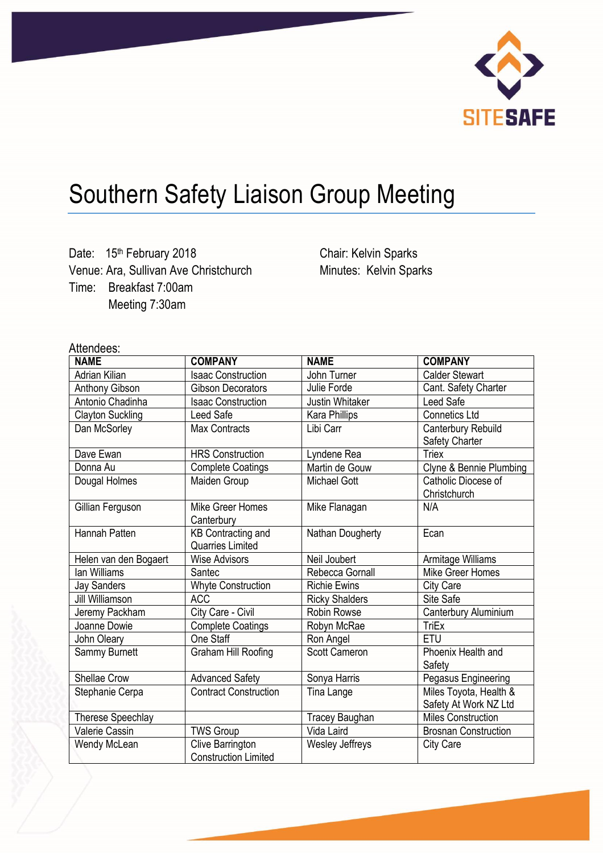

# Southern Safety Liaison Group Meeting

Date: 15<sup>th</sup> February 2018 Venue: Ara, Sullivan Ave Christchurch Time: Breakfast 7:00am Meeting 7:30am

Chair: Kelvin Sparks Minutes: Kelvin Sparks

# Attendees:

| <b>NAME</b>             | <b>COMPANY</b>               | <b>NAME</b>            | <b>COMPANY</b>              |
|-------------------------|------------------------------|------------------------|-----------------------------|
| Adrian Kilian           | <b>Isaac Construction</b>    | John Turner            | <b>Calder Stewart</b>       |
| <b>Anthony Gibson</b>   | <b>Gibson Decorators</b>     | Julie Forde            | Cant. Safety Charter        |
| Antonio Chadinha        | <b>Isaac Construction</b>    | Justin Whitaker        | Leed Safe                   |
| <b>Clayton Suckling</b> | Leed Safe                    | Kara Phillips          | <b>Connetics Ltd</b>        |
| Dan McSorley            | <b>Max Contracts</b>         | Libi Carr              | Canterbury Rebuild          |
|                         |                              |                        | Safety Charter              |
| Dave Ewan               | <b>HRS Construction</b>      | Lyndene Rea            | <b>Triex</b>                |
| Donna Au                | <b>Complete Coatings</b>     | Martin de Gouw         | Clyne & Bennie Plumbing     |
| Dougal Holmes           | Maiden Group                 | Michael Gott           | Catholic Diocese of         |
|                         |                              |                        | Christchurch                |
| Gillian Ferguson        | Mike Greer Homes             | Mike Flanagan          | N/A                         |
|                         | Canterbury                   |                        |                             |
| Hannah Patten           | <b>KB Contracting and</b>    | Nathan Dougherty       | Ecan                        |
|                         | <b>Quarries Limited</b>      |                        |                             |
| Helen van den Bogaert   | <b>Wise Advisors</b>         | Neil Joubert           | Armitage Williams           |
| lan Williams            | Santec                       | Rebecca Gornall        | Mike Greer Homes            |
| <b>Jay Sanders</b>      | <b>Whyte Construction</b>    | <b>Richie Ewins</b>    | City Care                   |
| Jill Williamson         | <b>ACC</b>                   | <b>Ricky Shalders</b>  | Site Safe                   |
| Jeremy Packham          | City Care - Civil            | <b>Robin Rowse</b>     | Canterbury Aluminium        |
| Joanne Dowie            | <b>Complete Coatings</b>     | Robyn McRae            | <b>TriEx</b>                |
| John Oleary             | One Staff                    | Ron Angel              | <b>ETU</b>                  |
| Sammy Burnett           | Graham Hill Roofing          | <b>Scott Cameron</b>   | Phoenix Health and          |
|                         |                              |                        | Safety                      |
| Shellae Crow            | <b>Advanced Safety</b>       | Sonya Harris           | Pegasus Engineering         |
| Stephanie Cerpa         | <b>Contract Construction</b> | Tina Lange             | Miles Toyota, Health &      |
|                         |                              |                        | Safety At Work NZ Ltd       |
| Therese Speechlay       |                              | Tracey Baughan         | <b>Miles Construction</b>   |
| Valerie Cassin          | <b>TWS Group</b>             | Vida Laird             | <b>Brosnan Construction</b> |
| Wendy McLean            | Clive Barrington             | <b>Wesley Jeffreys</b> | <b>City Care</b>            |
|                         | <b>Construction Limited</b>  |                        |                             |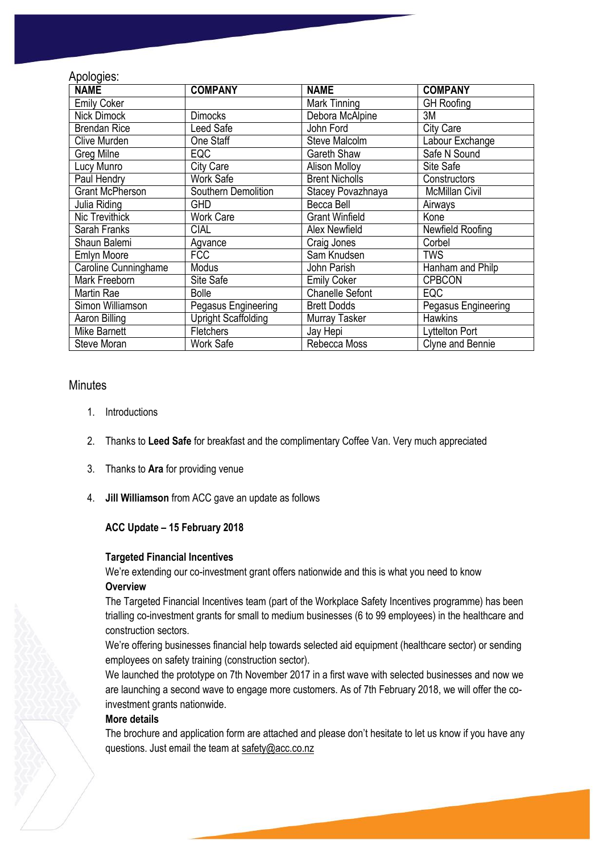# Apologies:

| <b>NAME</b>            | <b>COMPANY</b>             | <b>NAME</b>            | <b>COMPANY</b>        |
|------------------------|----------------------------|------------------------|-----------------------|
| <b>Emily Coker</b>     |                            | Mark Tinning           | <b>GH</b> Roofing     |
| <b>Nick Dimock</b>     | <b>Dimocks</b>             | Debora McAlpine        | 3M                    |
| <b>Brendan Rice</b>    | Leed Safe                  | John Ford              | <b>City Care</b>      |
| Clive Murden           | One Staff                  | Steve Malcolm          | Labour Exchange       |
| Greg Milne             | <b>EQC</b>                 | Gareth Shaw            | Safe N Sound          |
| Lucy Munro             | City Care                  | <b>Alison Molloy</b>   | Site Safe             |
| Paul Hendry            | <b>Work Safe</b>           | <b>Brent Nicholls</b>  | Constructors          |
| <b>Grant McPherson</b> | Southern Demolition        | Stacey Povazhnaya      | <b>McMillan Civil</b> |
| Julia Riding           | <b>GHD</b>                 | Becca Bell             | Airways               |
| <b>Nic Trevithick</b>  | <b>Work Care</b>           | <b>Grant Winfield</b>  | Kone                  |
| Sarah Franks           | <b>CIAL</b>                | <b>Alex Newfield</b>   | Newfield Roofing      |
| Shaun Balemi           | Agvance                    | Craig Jones            | Corbel                |
| Emlyn Moore            | <b>FCC</b>                 | Sam Knudsen            | <b>TWS</b>            |
| Caroline Cunninghame   | Modus                      | John Parish            | Hanham and Philp      |
| <b>Mark Freeborn</b>   | Site Safe                  | <b>Emily Coker</b>     | <b>CPBCON</b>         |
| Martin Rae             | <b>Bolle</b>               | <b>Chanelle Sefont</b> | <b>EQC</b>            |
| Simon Williamson       | Pegasus Engineering        | <b>Brett Dodds</b>     | Pegasus Engineering   |
| Aaron Billing          | <b>Upright Scaffolding</b> | Murray Tasker          | <b>Hawkins</b>        |
| Mike Barnett           | <b>Fletchers</b>           | Jay Hepi               | Lyttelton Port        |
| Steve Moran            | <b>Work Safe</b>           | Rebecca Moss           | Clyne and Bennie      |

### **Minutes**

- 1. Introductions
- 2. Thanks to **Leed Safe** for breakfast and the complimentary Coffee Van. Very much appreciated
- 3. Thanks to **Ara** for providing venue
- 4. **Jill Williamson** from ACC gave an update as follows

# **ACC Update – 15 February 2018**

#### **Targeted Financial Incentives**

We're extending our co-investment grant offers nationwide and this is what you need to know **Overview**

The Targeted Financial Incentives team (part of the Workplace Safety Incentives programme) has been trialling co-investment grants for small to medium businesses (6 to 99 employees) in the healthcare and construction sectors.

We're offering businesses financial help towards selected aid equipment (healthcare sector) or sending employees on safety training (construction sector).

We launched the prototype on 7th November 2017 in a first wave with selected businesses and now we are launching a second wave to engage more customers. As of 7th February 2018, we will offer the coinvestment grants nationwide.

#### **More details**

The brochure and application form are attached and please don't hesitate to let us know if you have any questions. Just email the team at [safety@acc.co.nz](mailto:safety@acc.co.nz)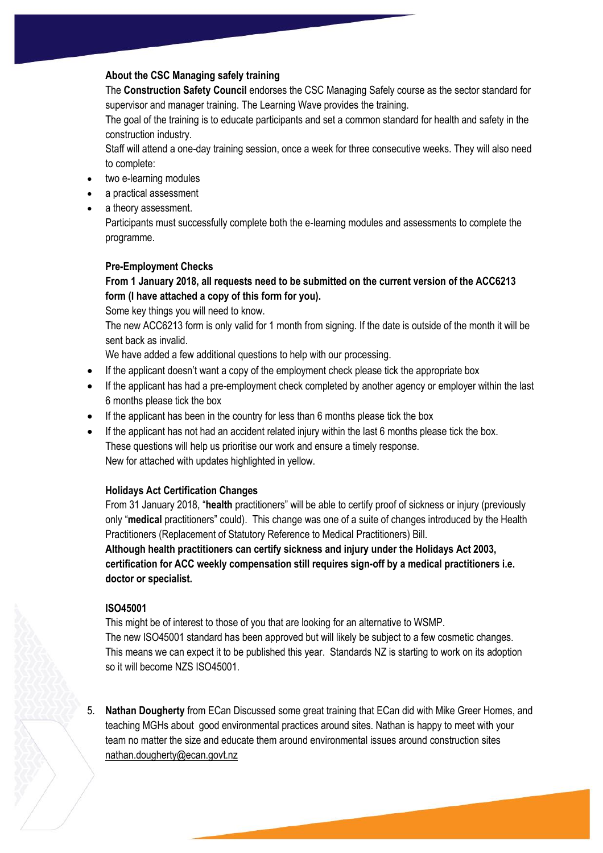# **About the CSC Managing safely training**

The **Construction Safety Council** endorses the CSC Managing Safely course as the sector standard for supervisor and manager training. The Learning Wave provides the training.

The goal of the training is to educate participants and set a common standard for health and safety in the construction industry.

Staff will attend a one-day training session, once a week for three consecutive weeks. They will also need to complete:

- two e-learning modules
- a practical assessment
- a theory assessment.

Participants must successfully complete both the e-learning modules and assessments to complete the programme.

# **Pre-Employment Checks**

# **From 1 January 2018, all requests need to be submitted on the current version of the ACC6213 form (I have attached a copy of this form for you).**

Some key things you will need to know.

The new ACC6213 form is only valid for 1 month from signing. If the date is outside of the month it will be sent back as invalid.

We have added a few additional questions to help with our processing.

- If the applicant doesn't want a copy of the employment check please tick the appropriate box
- If the applicant has had a pre-employment check completed by another agency or employer within the last 6 months please tick the box
- If the applicant has been in the country for less than 6 months please tick the box
- If the applicant has not had an accident related injury within the last 6 months please tick the box. These questions will help us prioritise our work and ensure a timely response. New for attached with updates highlighted in yellow.

# **Holidays Act Certification Changes**

From 31 January 2018, "**health** practitioners" will be able to certify proof of sickness or injury (previously only "**medical** practitioners" could). This change was one of a suite of changes introduced by the Health Practitioners (Replacement of Statutory Reference to Medical Practitioners) Bill.

**Although health practitioners can certify sickness and injury under the Holidays Act 2003, certification for ACC weekly compensation still requires sign-off by a medical practitioners i.e. doctor or specialist.**

#### **ISO45001**

This might be of interest to those of you that are looking for an alternative to WSMP. The new ISO45001 standard has been approved but will likely be subject to a few cosmetic changes. This means we can expect it to be published this year. Standards NZ is starting to work on its adoption so it will become NZS ISO45001.

5. **Nathan Dougherty** from ECan Discussed some great training that ECan did with Mike Greer Homes, and teaching MGHs about good environmental practices around sites. Nathan is happy to meet with your team no matter the size and educate them around environmental issues around construction sites [nathan.dougherty@ecan.govt.nz](mailto:nathan.dougherty@ecan.govt.nz)